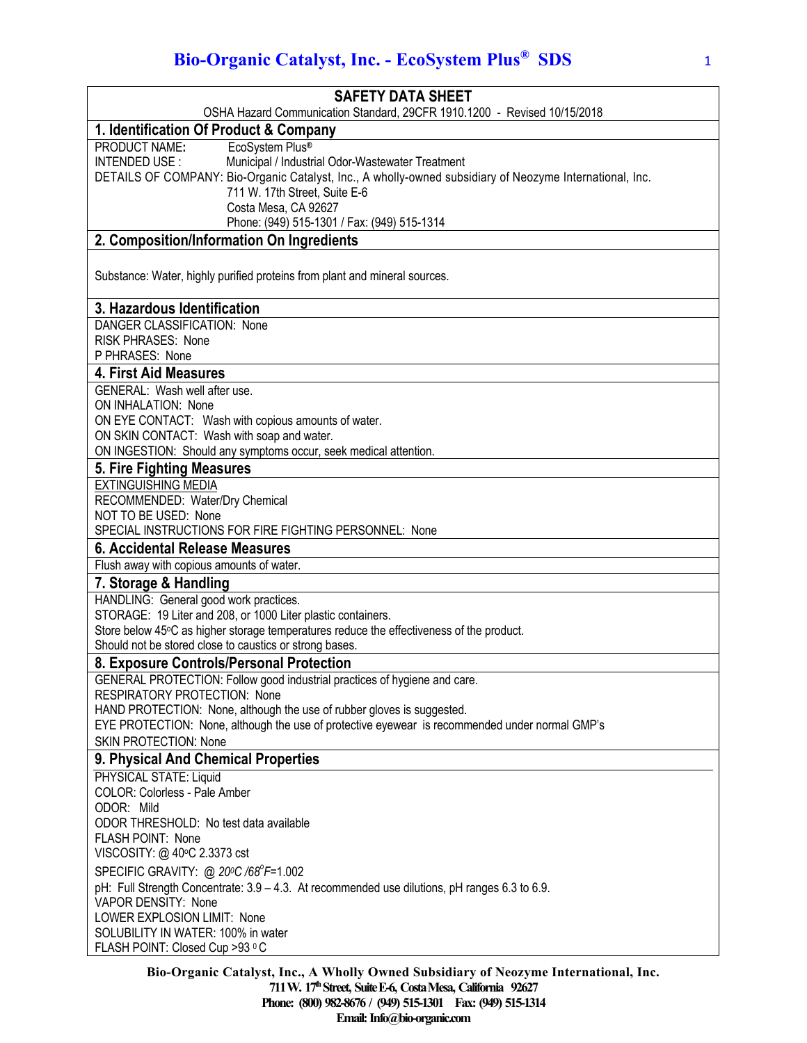# **Bio-Organic Catalyst, Inc. - EcoSystem Plus® SDS** 1

| <b>SAFETY DATA SHEET</b>                                                                                                                                                                                                                                                                                                     |
|------------------------------------------------------------------------------------------------------------------------------------------------------------------------------------------------------------------------------------------------------------------------------------------------------------------------------|
| OSHA Hazard Communication Standard, 29CFR 1910.1200 - Revised 10/15/2018                                                                                                                                                                                                                                                     |
| 1. Identification Of Product & Company                                                                                                                                                                                                                                                                                       |
| EcoSystem Plus®<br>PRODUCT NAME:<br>Municipal / Industrial Odor-Wastewater Treatment<br>INTENDED USE:<br>DETAILS OF COMPANY: Bio-Organic Catalyst, Inc., A wholly-owned subsidiary of Neozyme International, Inc.<br>711 W. 17th Street, Suite E-6<br>Costa Mesa, CA 92627<br>Phone: (949) 515-1301 / Fax: (949) 515-1314    |
| 2. Composition/Information On Ingredients                                                                                                                                                                                                                                                                                    |
| Substance: Water, highly purified proteins from plant and mineral sources.                                                                                                                                                                                                                                                   |
| 3. Hazardous Identification                                                                                                                                                                                                                                                                                                  |
| DANGER CLASSIFICATION: None<br><b>RISK PHRASES: None</b><br>P PHRASES: None                                                                                                                                                                                                                                                  |
| 4. First Aid Measures                                                                                                                                                                                                                                                                                                        |
| GENERAL: Wash well after use.<br>ON INHALATION: None<br>ON EYE CONTACT: Wash with copious amounts of water.<br>ON SKIN CONTACT: Wash with soap and water.<br>ON INGESTION: Should any symptoms occur, seek medical attention.                                                                                                |
| 5. Fire Fighting Measures                                                                                                                                                                                                                                                                                                    |
| <b>EXTINGUISHING MEDIA</b><br>RECOMMENDED: Water/Dry Chemical<br>NOT TO BE USED: None<br>SPECIAL INSTRUCTIONS FOR FIRE FIGHTING PERSONNEL: None                                                                                                                                                                              |
| 6. Accidental Release Measures                                                                                                                                                                                                                                                                                               |
| Flush away with copious amounts of water.                                                                                                                                                                                                                                                                                    |
| 7. Storage & Handling                                                                                                                                                                                                                                                                                                        |
| HANDLING: General good work practices.<br>STORAGE: 19 Liter and 208, or 1000 Liter plastic containers.<br>Store below 45°C as higher storage temperatures reduce the effectiveness of the product.<br>Should not be stored close to caustics or strong bases.                                                                |
| 8. Exposure Controls/Personal Protection                                                                                                                                                                                                                                                                                     |
| GENERAL PROTECTION: Follow good industrial practices of hygiene and care.<br><b>RESPIRATORY PROTECTION: None</b><br>HAND PROTECTION: None, although the use of rubber gloves is suggested.<br>EYE PROTECTION: None, although the use of protective eyewear is recommended under normal GMP's<br><b>SKIN PROTECTION: None</b> |
| 9. Physical And Chemical Properties                                                                                                                                                                                                                                                                                          |
| PHYSICAL STATE: Liquid<br>COLOR: Colorless - Pale Amber<br>ODOR: Mild<br>ODOR THRESHOLD: No test data available                                                                                                                                                                                                              |
| FLASH POINT: None<br>VISCOSITY: @ 40°C 2.3373 cst                                                                                                                                                                                                                                                                            |
| SPECIFIC GRAVITY: @ 200C /68°F=1.002<br>pH: Full Strength Concentrate: 3.9 - 4.3. At recommended use dilutions, pH ranges 6.3 to 6.9.<br>VAPOR DENSITY: None<br>LOWER EXPLOSION LIMIT: None                                                                                                                                  |
| SOLUBILITY IN WATER: 100% in water<br>FLASH POINT: Closed Cup >93 °C<br>Die Organic Cetebrat Ine A Whelly Owned Subsidiary of Negayme International Inc                                                                                                                                                                      |

**Bio-Organic Catalyst, Inc., A Wholly Owned Subsidiary of Neozyme International, Inc. 711 W. 17thStreet, SuiteE-6, CostaMesa, California 92627 Phone: (800) 982-8676 / (949) 515-1301 Fax: (949) 515-1314 Email:** Info@bio-organic.com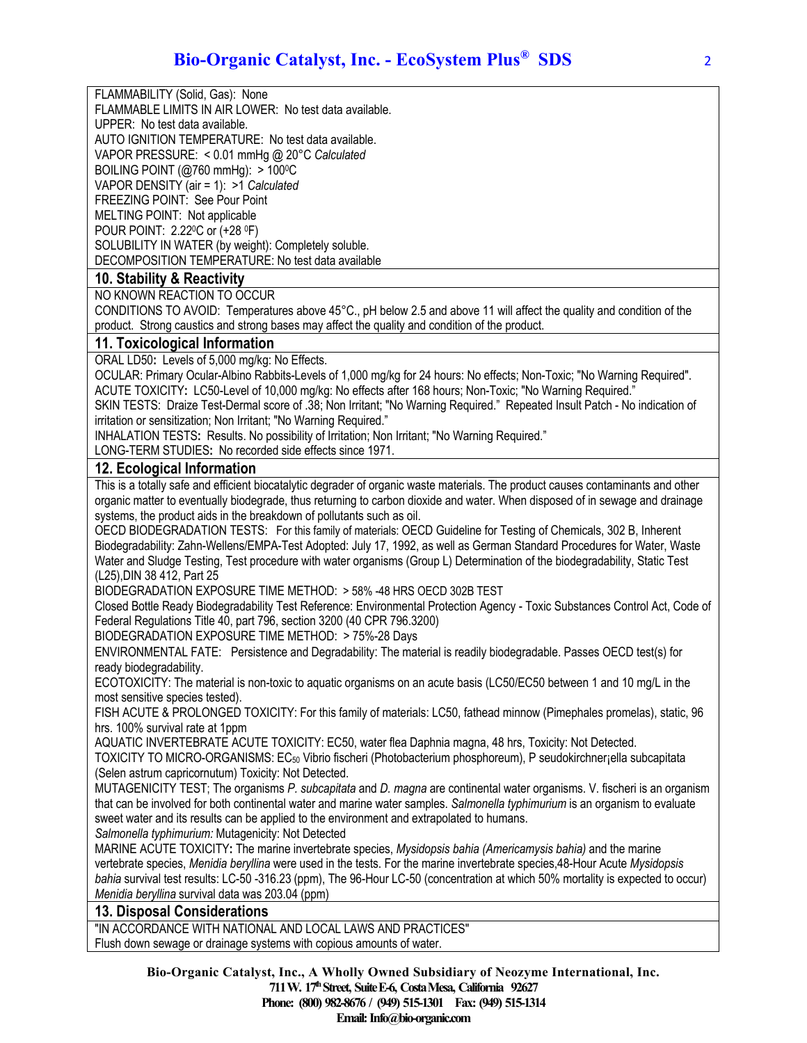FLAMMABILITY (Solid, Gas): None

FLAMMABLE LIMITS IN AIR LOWER: No test data available.

UPPER: No test data available.

AUTO IGNITION TEMPERATURE: No test data available.

VAPOR PRESSURE: < 0.01 mmHg @ 20°C *Calculated*

BOILING POINT (@760 mmHg): > 1000C

VAPOR DENSITY (air = 1): >1 *Calculated*

FREEZING POINT: See Pour Point

MELTING POINT: Not applicable

POUR POINT: 2.220C or (+28 0F)

SOLUBILITY IN WATER (by weight): Completely soluble.

DECOMPOSITION TEMPERATURE: No test data available

## **10. Stability & Reactivity**

NO KNOWN REACTION TO OCCUR

CONDITIONS TO AVOID: Temperatures above 45°C., pH below 2.5 and above 11 will affect the quality and condition of the product. Strong caustics and strong bases may affect the quality and condition of the product.

### **11. Toxicological Information**

ORAL LD50**:** Levels of 5,000 mg/kg: No Effects.

OCULAR: Primary Ocular-Albino Rabbits-Levels of 1,000 mg/kg for 24 hours: No effects; Non-Toxic; "No Warning Required". ACUTE TOXICITY**:** LC50-Level of 10,000 mg/kg: No effects after 168 hours; Non-Toxic; "No Warning Required."

SKIN TESTS: Draize Test-Dermal score of .38; Non Irritant; "No Warning Required." Repeated Insult Patch - No indication of irritation or sensitization; Non Irritant; "No Warning Required."

INHALATION TESTS**:** Results. No possibility of Irritation; Non Irritant; "No Warning Required."

LONG-TERM STUDIES**:** No recorded side effects since 1971.

### **12. Ecological Information**

This is a totally safe and efficient biocatalytic degrader of organic waste materials. The product causes contaminants and other organic matter to eventually biodegrade, thus returning to carbon dioxide and water. When disposed of in sewage and drainage systems, the product aids in the breakdown of pollutants such as oil.

OECD BIODEGRADATION TESTS: For this family of materials: OECD Guideline for Testing of Chemicals, 302 B, Inherent Biodegradability: Zahn-Wellens/EMPA-Test Adopted: July 17, 1992, as well as German Standard Procedures for Water, Waste Water and Sludge Testing, Test procedure with water organisms (Group L) Determination of the biodegradability, Static Test (L25),DIN 38 412, Part 25

BIODEGRADATION EXPOSURE TIME METHOD: > 58% -48 HRS OECD 302B TEST

Closed Bottle Ready Biodegradability Test Reference: Environmental Protection Agency - Toxic Substances Control Act, Code of Federal Regulations Title 40, part 796, section 3200 (40 CPR 796.3200)

BIODEGRADATION EXPOSURE TIME METHOD: > 75%-28 Days

ENVIRONMENTAL FATE: Persistence and Degradability: The material is readily biodegradable. Passes OECD test(s) for ready biodegradability.

ECOTOXICITY: The material is non-toxic to aquatic organisms on an acute basis (LC50/EC50 between 1 and 10 mg/L in the most sensitive species tested).

FISH ACUTE & PROLONGED TOXICITY: For this family of materials: LC50, fathead minnow (Pimephales promelas), static, 96 hrs. 100% survival rate at 1ppm

AQUATIC INVERTEBRATE ACUTE TOXICITY: EC50, water flea Daphnia magna, 48 hrs, Toxicity: Not Detected.

TOXICITY TO MICRO-ORGANISMS: EC50 Vibrio fischeri (Photobacterium phosphoreum), P seudokirchner¡ella subcapitata (Selen astrum capricornutum) Toxicity: Not Detected.

MUTAGENICITY TEST; The organisms *P. subcapitata* and *D. magna* are continental water organisms. V. fischeri is an organism that can be involved for both continental water and marine water samples. *Salmonella typhimurium* is an organism to evaluate sweet water and its results can be applied to the environment and extrapolated to humans.

*Salmonella typhimurium:* Mutagenicity: Not Detected

MARINE ACUTE TOXICITY**:** The marine invertebrate species, *Mysidopsis bahia (Americamysis bahia)* and the marine vertebrate species, *Menidia beryllina* were used in the tests. For the marine invertebrate species,48-Hour Acute *Mysidopsis bahia* survival test results: LC-50 -316.23 (ppm), The 96-Hour LC-50 (concentration at which 50% mortality is expected to occur) *Menidia beryllina* survival data was 203.04 (ppm)

### **13. Disposal Considerations**

"IN ACCORDANCE WITH NATIONAL AND LOCAL LAWS AND PRACTICES" Flush down sewage or drainage systems with copious amounts of water.

**Bio-Organic Catalyst, Inc., A Wholly Owned Subsidiary of Neozyme International, Inc.**

**711 W. 17thStreet, SuiteE-6, CostaMesa, California 92627 Phone: (800) 982-8676 / (949) 515-1301 Fax: (949) 515-1314**

**Email:Info@bio-organic.com**